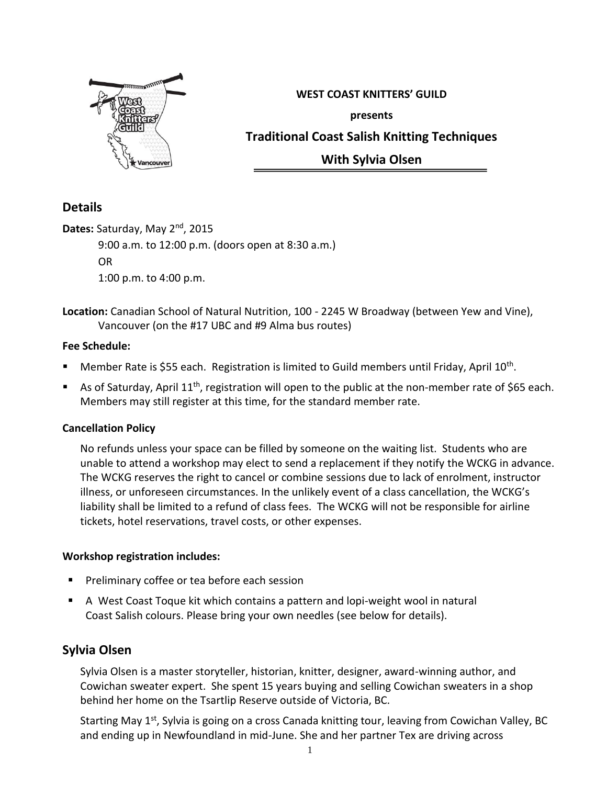

**WEST COAST KNITTERS' GUILD presents Traditional Coast Salish Knitting Techniques With Sylvia Olsen**

# **Details**

**Dates:** Saturday, May 2nd, 2015 9:00 a.m. to 12:00 p.m. (doors open at 8:30 a.m.) OR 1:00 p.m. to 4:00 p.m.

**Location:** Canadian School of Natural Nutrition, 100 - 2245 W Broadway (between Yew and Vine), Vancouver (on the #17 UBC and #9 Alma bus routes)

## **Fee Schedule:**

- **Member Rate is \$55 each. Registration is limited to Guild members until Friday, April 10<sup>th</sup>.**
- As of Saturday, April 11<sup>th</sup>, registration will open to the public at the non-member rate of \$65 each. Members may still register at this time, for the standard member rate.

## **Cancellation Policy**

No refunds unless your space can be filled by someone on the waiting list. Students who are unable to attend a workshop may elect to send a replacement if they notify the WCKG in advance. The WCKG reserves the right to cancel or combine sessions due to lack of enrolment, instructor illness, or unforeseen circumstances. In the unlikely event of a class cancellation, the WCKG's liability shall be limited to a refund of class fees. The WCKG will not be responsible for airline tickets, hotel reservations, travel costs, or other expenses.

### **Workshop registration includes:**

- Preliminary coffee or tea before each session
- A West Coast Toque kit which contains a pattern and lopi-weight wool in natural Coast Salish colours. Please bring your own needles (see below for details).

# **Sylvia Olsen**

Sylvia Olsen is a master storyteller, historian, knitter, designer, award-winning author, and Cowichan sweater expert. She spent 15 years buying and selling Cowichan sweaters in a shop behind her home on the Tsartlip Reserve outside of Victoria, BC.

Starting May 1<sup>st</sup>, Sylvia is going on a cross Canada knitting tour, leaving from Cowichan Valley, BC and ending up in Newfoundland in mid-June. She and her partner Tex are driving across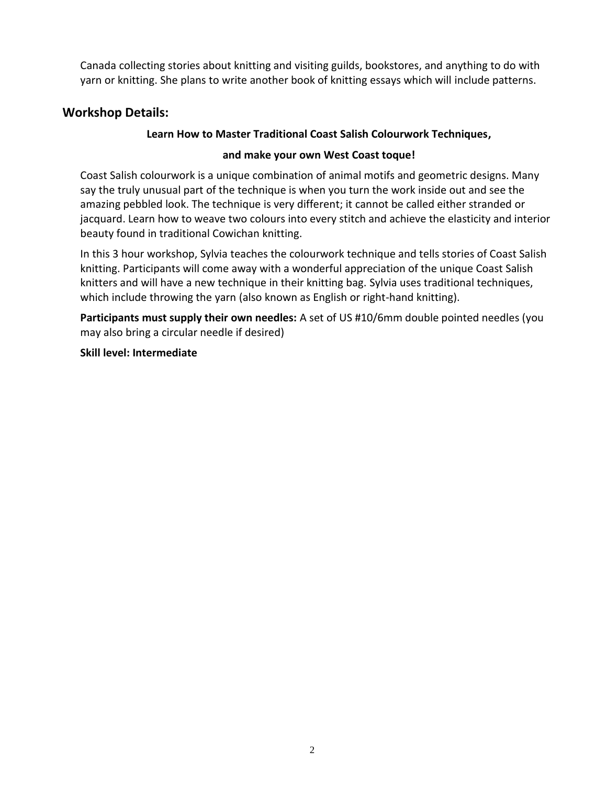Canada collecting stories about knitting and visiting guilds, bookstores, and anything to do with yarn or knitting. She plans to write another book of knitting essays which will include patterns.

# **Workshop Details:**

### **Learn How to Master Traditional Coast Salish Colourwork Techniques,**

#### **and make your own West Coast toque!**

Coast Salish colourwork is a unique combination of animal motifs and geometric designs. Many say the truly unusual part of the technique is when you turn the work inside out and see the amazing pebbled look. The technique is very different; it cannot be called either stranded or jacquard. Learn how to weave two colours into every stitch and achieve the elasticity and interior beauty found in traditional Cowichan knitting.

In this 3 hour workshop, Sylvia teaches the colourwork technique and tells stories of Coast Salish knitting. Participants will come away with a wonderful appreciation of the unique Coast Salish knitters and will have a new technique in their knitting bag. Sylvia uses traditional techniques, which include throwing the yarn (also known as English or right-hand knitting).

**Participants must supply their own needles:** A set of US #10/6mm double pointed needles (you may also bring a circular needle if desired)

#### **Skill level: Intermediate**